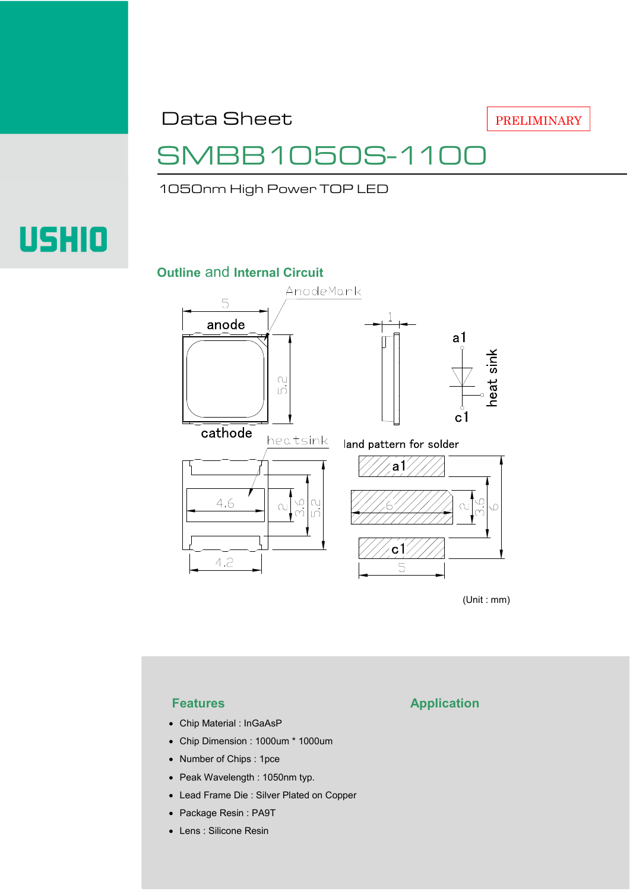Data Sheet

## SMBB1050S-1100

1050nm High Power TOP LED

# **USHIO**

#### **Outline** and **Internal Circuit**



(Unit : mm)

- Chip Material : InGaAsP
- Chip Dimension : 1000um \* 1000um
- Number of Chips : 1pce
- Peak Wavelength : 1050nm typ.
- Lead Frame Die : Silver Plated on Copper
- Package Resin : PA9T
- Lens : Silicone Resin

### **Features Application**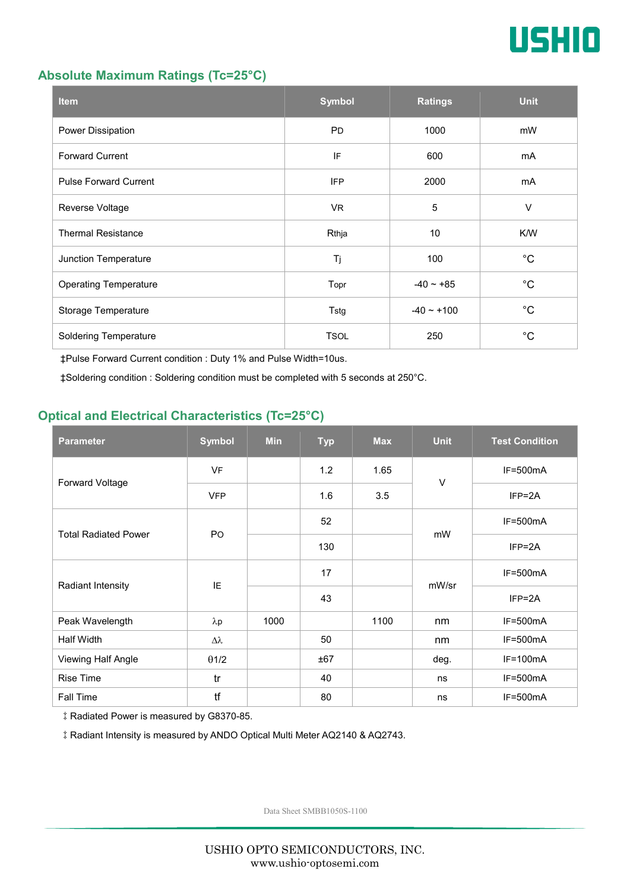

#### **Absolute Maximum Ratings (Tc=25°C)**

| <b>Item</b>                  | <b>Symbol</b> | <b>Ratings</b>  | <b>Unit</b> |
|------------------------------|---------------|-----------------|-------------|
| Power Dissipation            | <b>PD</b>     | 1000            | mW          |
| <b>Forward Current</b>       | IF            | 600             | mA          |
| <b>Pulse Forward Current</b> | <b>IFP</b>    | 2000            | mA          |
| Reverse Voltage              | VR.           | $\sqrt{5}$      | $\vee$      |
| <b>Thermal Resistance</b>    | Rthja         | 10              | K/W         |
| Junction Temperature         | Tj            | 100             | $^{\circ}C$ |
| <b>Operating Temperature</b> | Topr          | $-40 \sim +85$  | $^{\circ}C$ |
| Storage Temperature          | Tstg          | $-40 \sim +100$ | $^{\circ}C$ |
| Soldering Temperature        | <b>TSOL</b>   | 250             | $^{\circ}C$ |

‡Pulse Forward Current condition : Duty 1% and Pulse Width=10us.

‡Soldering condition : Soldering condition must be completed with 5 seconds at 250°C.

#### **Optical and Electrical Characteristics (Tc=25°C)**

| <b>Parameter</b>            | <b>Symbol</b>  | <b>Min</b> | <b>Typ</b> | <b>Max</b> | <b>Unit</b> | <b>Test Condition</b> |
|-----------------------------|----------------|------------|------------|------------|-------------|-----------------------|
| Forward Voltage             | <b>VF</b>      |            | 1.2        | 1.65       | $\vee$      | $IF=500mA$            |
|                             | <b>VFP</b>     |            | 1.6        | 3.5        |             | $IFP = 2A$            |
| <b>Total Radiated Power</b> | P <sub>O</sub> |            | 52         |            | mW          | $IF=500mA$            |
|                             |                |            | 130        |            |             | $IFP = 2A$            |
| Radiant Intensity           | IE             |            | 17         |            | mW/sr       | $IF=500mA$            |
|                             |                |            | 43         |            |             | $IFP = 2A$            |
| Peak Wavelength             | $\lambda p$    | 1000       |            | 1100       | nm          | $IF=500mA$            |
| <b>Half Width</b>           | Δλ             |            | 50         |            | nm          | $IF=500mA$            |
| Viewing Half Angle          | $\theta$ 1/2   |            | ±67        |            | deg.        | $IF=100mA$            |
| <b>Rise Time</b>            | tr             |            | 40         |            | ns          | $IF=500mA$            |
| Fall Time                   | tf             |            | 80         |            | ns          | $IF=500mA$            |

‡Radiated Power is measured by G8370-85.

‡Radiant Intensity is measured by ANDO Optical Multi Meter AQ2140 & AQ2743.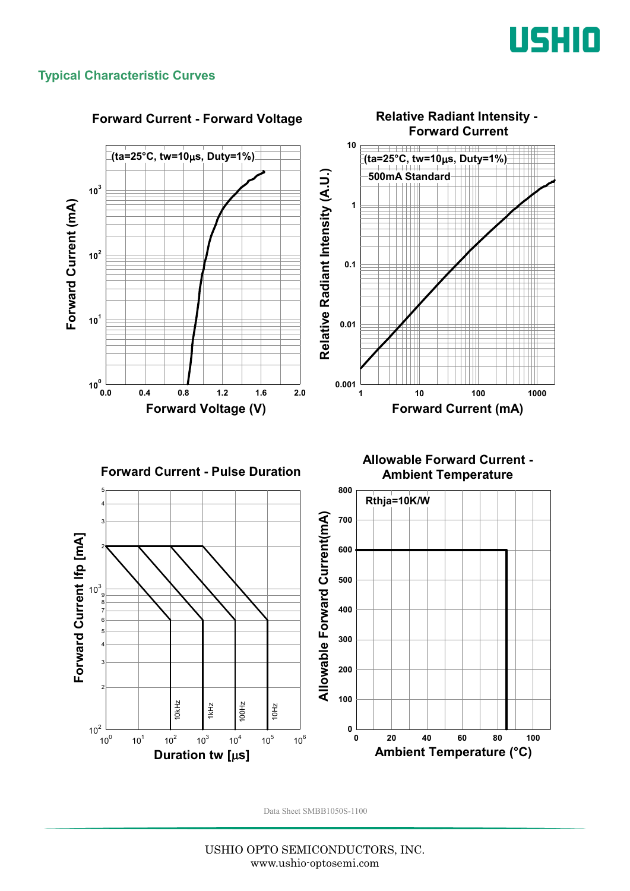

#### **Typical Characteristic Curves**



USHIO OPTO SEMICONDUCTORS, INC. www.ushio-optosemi.com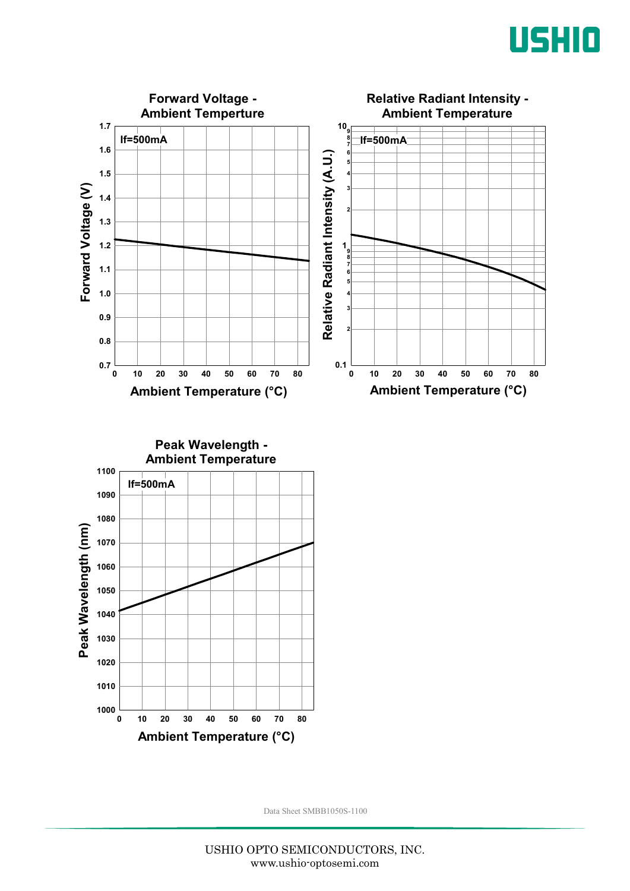



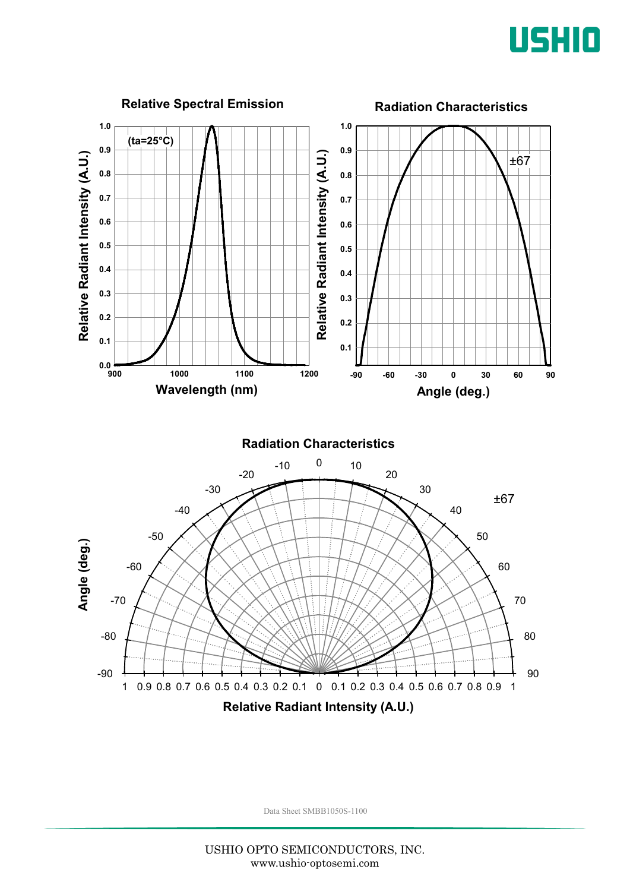

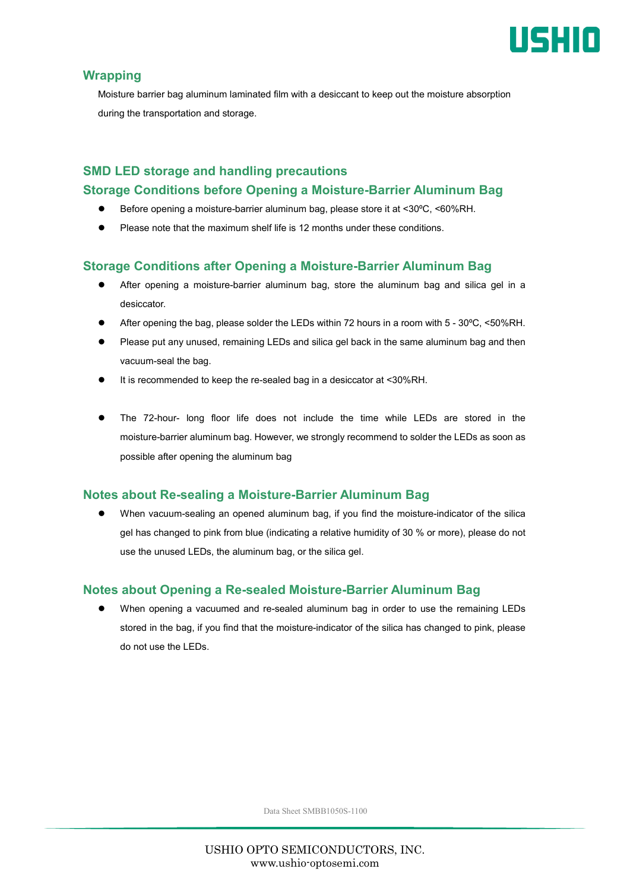

#### **Wrapping**

Moisture barrier bag aluminum laminated film with a desiccant to keep out the moisture absorption during the transportation and storage.

#### **SMD LED storage and handling precautions Storage Conditions before Opening a Moisture-Barrier Aluminum Bag**

- Before opening a moisture-barrier aluminum bag, please store it at <30ºC, <60%RH.
- Please note that the maximum shelf life is 12 months under these conditions.

#### **Storage Conditions after Opening a Moisture-Barrier Aluminum Bag**

- After opening a moisture-barrier aluminum bag, store the aluminum bag and silica gel in a desiccator.
- After opening the bag, please solder the LEDs within 72 hours in a room with 5 30ºC, <50%RH.
- Please put any unused, remaining LEDs and silica gel back in the same aluminum bag and then vacuum-seal the bag.
- It is recommended to keep the re-sealed bag in a desiccator at <30%RH.
- The 72-hour- long floor life does not include the time while LEDs are stored in the moisture-barrier aluminum bag. However, we strongly recommend to solder the LEDs as soon as possible after opening the aluminum bag

#### **Notes about Re-sealing a Moisture-Barrier Aluminum Bag**

 When vacuum-sealing an opened aluminum bag, if you find the moisture-indicator of the silica gel has changed to pink from blue (indicating a relative humidity of 30 % or more), please do not use the unused LEDs, the aluminum bag, or the silica gel.

#### **Notes about Opening a Re-sealed Moisture-Barrier Aluminum Bag**

 When opening a vacuumed and re-sealed aluminum bag in order to use the remaining LEDs stored in the bag, if you find that the moisture-indicator of the silica has changed to pink, please do not use the LEDs.